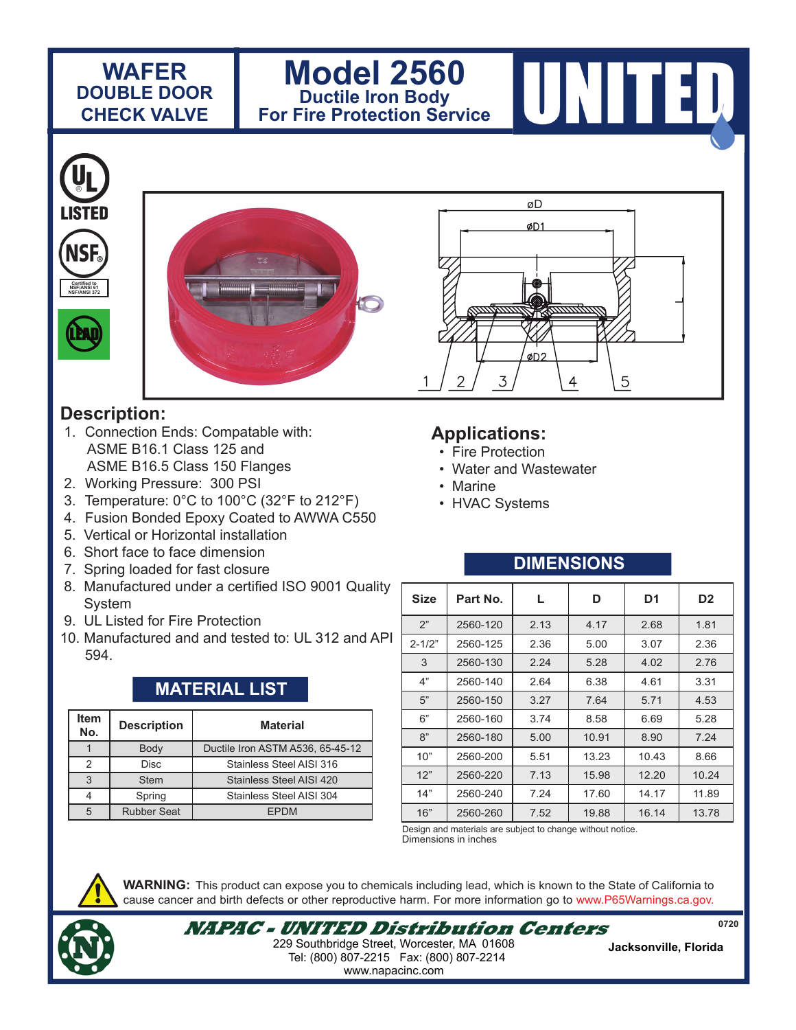### **WAFER DOUBLE DOOR CHECK VALVE**

## **Model 2560 Ductile Iron Body For Fire Protection Service**



5

#### I ISTEN NSI **Certified to Certified to NSF/ANSI 61 NSF/ANSI 372 NSF/ANSI 372**



#### **Description:**

- 1. Connection Ends: Compatable with: ASME B16.1 Class 125 and ASME B16.5 Class 150 Flanges
- 2. Working Pressure: 300 PSI
- 3. Temperature: 0°C to 100°C (32°F to 212°F)
- 4. Fusion Bonded Epoxy Coated to AWWA C550
- 5. Vertical or Horizontal installation
- 6. Short face to face dimension
- 7. Spring loaded for fast closure
- 8. Manufactured under a certified ISO 9001 Quality **System**
- 9. UL Listed for Fire Protection
- 10. Manufactured and and tested to: UL 312 and API 594.

# **MATERIAL LIST**

| <b>Item</b><br>No. | <b>Description</b> | <b>Material</b>                  |  |  |
|--------------------|--------------------|----------------------------------|--|--|
|                    | Body               | Ductile Iron ASTM A536, 65-45-12 |  |  |
| 2                  | <b>Disc</b>        | Stainless Steel AISI 316         |  |  |
| 3                  | <b>Stem</b>        | Stainless Steel AISI 420         |  |  |
|                    | Spring             | Stainless Steel AISI 304         |  |  |
| 5                  | <b>Rubber Seat</b> | <b>FPDM</b>                      |  |  |

# **Applications:**

3

- Fire Protection
- Water and Wastewater

øD

ØD1

øD2

- Marine
- HVAC Systems

### **DIMENSIONS**

4

| <b>Size</b> | Part No. | L    | D     | D1    | D <sub>2</sub> |
|-------------|----------|------|-------|-------|----------------|
| 2"          | 2560-120 | 2.13 | 4.17  | 2.68  | 1.81           |
| $2 - 1/2"$  | 2560-125 | 2.36 | 5.00  | 3.07  | 2.36           |
| 3           | 2560-130 | 2.24 | 5.28  | 4.02  | 2.76           |
| 4"          | 2560-140 | 2.64 | 6.38  | 4.61  | 3.31           |
| 5"          | 2560-150 | 3.27 | 7.64  | 5.71  | 4.53           |
| 6"          | 2560-160 | 3.74 | 8.58  | 6.69  | 5.28           |
| 8"          | 2560-180 | 5.00 | 10.91 | 8.90  | 7.24           |
| 10"         | 2560-200 | 5.51 | 13.23 | 10.43 | 8.66           |
| 12"         | 2560-220 | 7.13 | 15.98 | 12.20 | 10.24          |
| 14"         | 2560-240 | 7.24 | 17.60 | 14.17 | 11.89          |
| 16"         | 2560-260 | 7.52 | 19.88 | 16.14 | 13.78          |

Dimensions in inches Design and materials are subject to change without notice.



**WARNING:** This product can expose you to chemicals including lead, which is known to the State of California to cause cancer and birth defects or other reproductive harm. For more information go to www.P65Warnings.ca.gov.



**0720**

www.napacinc.com